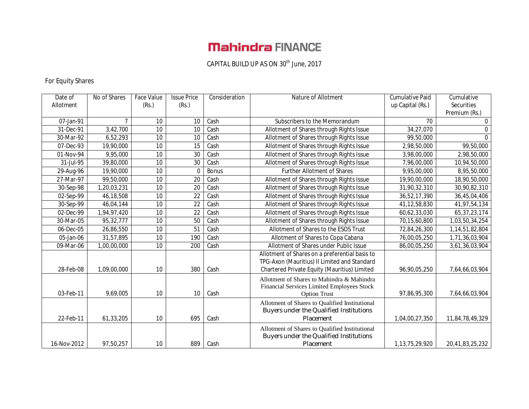# **Mahindra FINANCE**

### CAPITAL BUILD UP AS ON 30<sup>th</sup> June, 2017

### For Equity Shares

| Date of<br>Allotment | No of Shares | Face Value<br>(Rs.) | <b>Issue Price</b><br>(Rs.) | Consideration | Nature of Allotment                                                                                                                            | <b>Cumulative Paid</b><br>up Capital (Rs.) | Cumulative<br>Securities |
|----------------------|--------------|---------------------|-----------------------------|---------------|------------------------------------------------------------------------------------------------------------------------------------------------|--------------------------------------------|--------------------------|
|                      |              |                     |                             |               |                                                                                                                                                |                                            | Premium (Rs.)            |
| 07-Jan-91            | 7            | 10                  | 10                          | Cash          | Subscribers to the Memorandum                                                                                                                  | 70                                         | 0                        |
| 31-Dec-91            | 3,42,700     | 10                  | 10                          | Cash          | Allotment of Shares through Rights Issue                                                                                                       | 34,27,070                                  | $\Omega$                 |
| 30-Mar-92            | 6,52,293     | 10                  | 10                          | Cash          | Allotment of Shares through Rights Issue                                                                                                       | 99,50,000                                  | $\Omega$                 |
| 07-Dec-93            | 19,90,000    | 10                  | 15                          | Cash          | Allotment of Shares through Rights Issue                                                                                                       | 2,98,50,000                                | 99,50,000                |
| 01-Nov-94            | 9,95,000     | 10                  | 30                          | Cash          | Allotment of Shares through Rights Issue                                                                                                       | 3,98,00,000                                | 2,98,50,000              |
| 31-Jul-95            | 39,80,000    | 10                  | $\overline{30}$             | Cash          | Allotment of Shares through Rights Issue                                                                                                       | 7,96,00,000                                | 10,94,50,000             |
| 29-Aug-96            | 19,90,000    | $\overline{10}$     | $\mathbf{0}$                | <b>Bonus</b>  | <b>Further Allotment of Shares</b>                                                                                                             | 9,95,00,000                                | 8,95,50,000              |
| 27-Mar-97            | 99,50,000    | 10                  | 20                          | Cash          | Allotment of Shares through Rights Issue                                                                                                       | 19,90,00,000                               | 18,90,50,000             |
| 30-Sep-98            | 1,20,03,231  | 10                  | 20                          | Cash          | Allotment of Shares through Rights Issue                                                                                                       | 31,90,32,310                               | 30,90,82,310             |
| 02-Sep-99            | 46,18,508    | 10                  | 22                          | Cash          | Allotment of Shares through Rights Issue                                                                                                       | 36,52,17,390                               | 36,45,04,406             |
| 30-Sep-99            | 46,04,144    | 10                  | $\overline{22}$             | Cash          | Allotment of Shares through Rights Issue                                                                                                       | 41, 12, 58, 830                            | 41,97,54,134             |
| 02-Dec-99            | 1,94,97,420  | 10                  | 22                          | Cash          | Allotment of Shares through Rights Issue                                                                                                       | 60,62,33,030                               | 65, 37, 23, 174          |
| 30-Mar-05            | 95,32,777    | 10                  | 50                          | Cash          | Allotment of Shares through Rights Issue                                                                                                       | 70,15,60,800                               | 1,03,50,34,254           |
| 06-Dec-05            | 26,86,550    | 10                  | 51                          | Cash          | Allotment of Shares to the ESOS Trust                                                                                                          | 72,84,26,300                               | 1,14,51,82,804           |
| 05-Jan-06            | 31,57,895    | $\overline{10}$     | 190                         | Cash          | Allotment of Shares to Copa Cabana                                                                                                             | 76,00,05,250                               | 1,71,36,03,904           |
| 09-Mar-06            | 1,00,00,000  | 10                  | 200                         | Cash          | Allotment of Shares under Public Issue                                                                                                         | 86,00,05,250                               | 3,61,36,03,904           |
| 28-Feb-08            | 1,09,00,000  | 10                  | 380                         | Cash          | Allotment of Shares on a preferential basis to<br>TPG-Axon (Mauritius) II Limited and Standard<br>Chartered Private Equity (Mauritius) Limited | 96,90,05,250                               | 7,64,66,03,904           |
| 03-Feb-11            | 9,69,005     | 10                  | 10                          | Cash          | Allotment of Shares to Mahindra & Mahindra<br>Financial Services Limited Employees Stock<br><b>Option Trust</b>                                | 97,86,95,300                               | 7,64,66,03,904           |
| 22-Feb-11            | 61,33,205    | 10                  | 695                         | Cash          | Allotment of Shares to Qualified Institutional<br>Buyers under the Qualified Institutions<br>Placement                                         | 1,04,00,27,350                             | 11,84,78,49,329          |
| 16-Nov-2012          | 97,50,257    | 10                  | 889                         | Cash          | Allotment of Shares to Qualified Institutional<br>Buyers under the Qualified Institutions<br>Placement                                         | 1,13,75,29,920                             | 20,41,83,25,232          |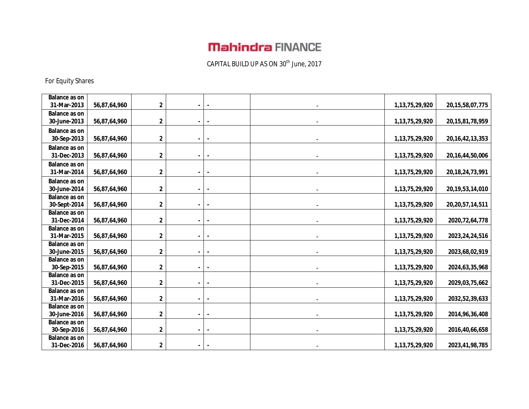# **Mahindra FINANCE**

CAPITAL BUILD UP AS ON 30<sup>th</sup> June, 2017

For Equity Shares

| <b>Balance as on</b> |              |                         |  |                    |                     |
|----------------------|--------------|-------------------------|--|--------------------|---------------------|
| 31-Mar-2013          | 56,87,64,960 | $\mathbf 2$             |  | 1, 13, 75, 29, 920 | 20, 15, 58, 07, 775 |
| <b>Balance as on</b> |              |                         |  |                    |                     |
| 30-June-2013         |              | $\mathbf 2$             |  |                    |                     |
|                      | 56,87,64,960 |                         |  | 1, 13, 75, 29, 920 | 20, 15, 81, 78, 959 |
| <b>Balance as on</b> |              |                         |  |                    |                     |
| 30-Sep-2013          | 56,87,64,960 | 2                       |  | 1,13,75,29,920     | 20, 16, 42, 13, 353 |
| <b>Balance as on</b> |              |                         |  |                    |                     |
| 31-Dec-2013          | 56,87,64,960 | 2                       |  | 1, 13, 75, 29, 920 | 20, 16, 44, 50, 006 |
| <b>Balance as on</b> |              |                         |  |                    |                     |
| 31-Mar-2014          | 56,87,64,960 | $\mathbf 2$             |  | 1,13,75,29,920     | 20, 18, 24, 73, 991 |
| <b>Balance as on</b> |              |                         |  |                    |                     |
| 30-June-2014         | 56,87,64,960 | $\mathbf 2$             |  | 1,13,75,29,920     | 20, 19, 53, 14, 010 |
| <b>Balance as on</b> |              |                         |  |                    |                     |
| 30-Sept-2014         | 56,87,64,960 | 2                       |  | 1, 13, 75, 29, 920 | 20, 20, 57, 14, 511 |
| Balance as on        |              |                         |  |                    |                     |
| 31-Dec-2014          | 56,87,64,960 | $\overline{\mathbf{2}}$ |  | 1, 13, 75, 29, 920 | 2020, 72, 64, 778   |
| <b>Balance as on</b> |              |                         |  |                    |                     |
| 31-Mar-2015          | 56,87,64,960 | $\mathbf 2$             |  | 1, 13, 75, 29, 920 | 2023, 24, 24, 516   |
| <b>Balance as on</b> |              |                         |  |                    |                     |
| 30-June-2015         | 56,87,64,960 | $\mathbf 2$             |  | 1,13,75,29,920     | 2023,68,02,919      |
| <b>Balance as on</b> |              |                         |  |                    |                     |
| 30-Sep-2015          | 56,87,64,960 | $\mathbf 2$             |  | 1, 13, 75, 29, 920 | 2024, 63, 35, 968   |
| <b>Balance as on</b> |              |                         |  |                    |                     |
| 31-Dec-2015          | 56,87,64,960 | 2                       |  | 1, 13, 75, 29, 920 | 2029,03,75,662      |
| <b>Balance as on</b> |              |                         |  |                    |                     |
| 31-Mar-2016          | 56,87,64,960 | 2                       |  | 1,13,75,29,920     | 2032, 52, 39, 633   |
| <b>Balance as on</b> |              |                         |  |                    |                     |
| 30-June-2016         | 56,87,64,960 | 2                       |  | 1, 13, 75, 29, 920 | 2014, 96, 36, 408   |
| <b>Balance as on</b> |              |                         |  |                    |                     |
| 30-Sep-2016          | 56,87,64,960 | $\mathbf 2$             |  | 1,13,75,29,920     | 2016,40,66,658      |
| <b>Balance as on</b> |              |                         |  |                    |                     |
| 31-Dec-2016          | 56,87,64,960 | $\overline{\mathbf{2}}$ |  | 1,13,75,29,920     | 2023,41,98,785      |